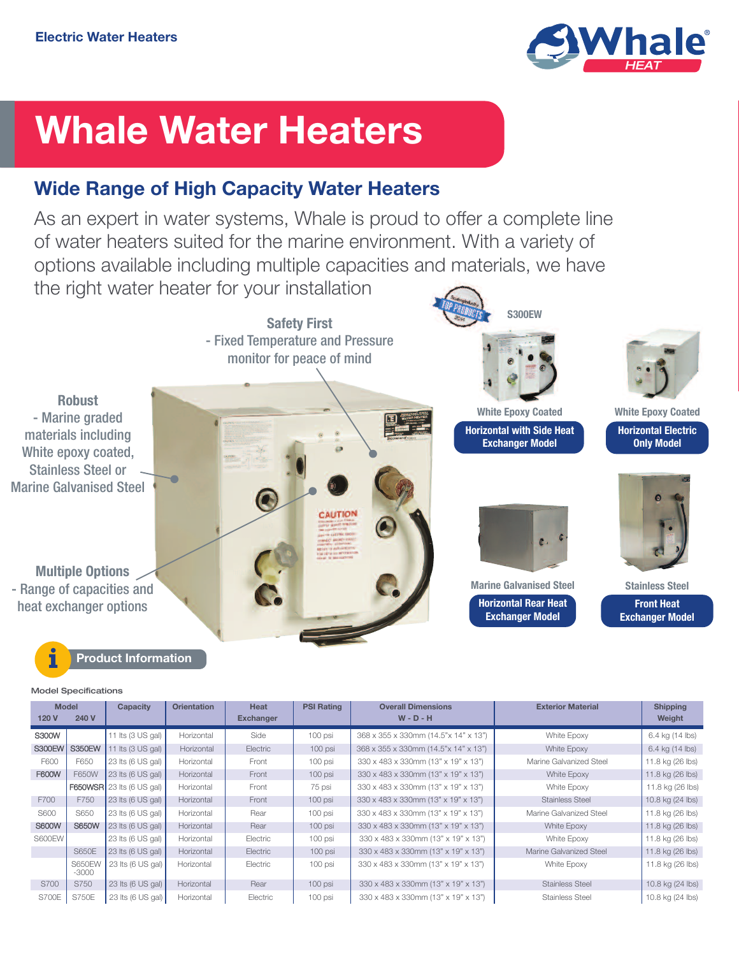

# **Whale Water Heaters**

## **Wide Range of High Capacity Water Heaters**

As an expert in water systems, Whale is proud to offer a complete line of water heaters suited for the marine environment. With a variety of options available including multiple capacities and materials, we have the right water heater for your installation



**Model Specifications**

| <b>Model</b><br>240 V<br>120 V |                          | <b>Capacity</b>                     | <b>Orientation</b> | Heat<br><b>Exchanger</b> | <b>PSI Rating</b> | <b>Overall Dimensions</b><br>$W - D - H$ | <b>Exterior Material</b> | <b>Shipping</b><br>Weight |
|--------------------------------|--------------------------|-------------------------------------|--------------------|--------------------------|-------------------|------------------------------------------|--------------------------|---------------------------|
| S300W                          |                          | 11 Its $(3 US gal)$                 | Horizontal         | Side                     | 100 psi           | 368 x 355 x 330mm (14.5"x 14" x 13")     | White Epoxy              | 6.4 kg (14 lbs)           |
| <b>S300EW</b>                  | <b>S350EW</b>            | 11 Its $(3 \text{ US gal})$         | Horizontal         | Electric                 | $100$ psi         | 368 x 355 x 330mm (14.5"x 14" x 13")     | White Epoxy              | 6.4 kg (14 lbs)           |
| F600                           | F650                     | 23 Its (6 US gal)                   | Horizontal         | Front                    | 100 psi           | 330 x 483 x 330mm (13" x 19" x 13")      | Marine Galvanized Steel  | 11.8 kg (26 lbs)          |
| F600W                          | F650W                    | $23$ lts (6 US gal)                 | Horizontal         | Front                    | $100$ psi         | 330 x 483 x 330mm (13" x 19" x 13")      | White Epoxy              | 11.8 kg (26 lbs)          |
|                                |                          | F650WSR 23 Its $(6 \text{ US gal})$ | Horizontal         | Front                    | 75 psi            | 330 x 483 x 330mm (13" x 19" x 13")      | White Epoxy              | 11.8 kg (26 lbs)          |
| F700                           | F750                     | 23 Its (6 US gal)                   | Horizontal         | Front                    | 100 psi           | 330 x 483 x 330mm (13" x 19" x 13")      | <b>Stainless Steel</b>   | 10.8 kg (24 lbs)          |
| S600                           | S650                     | $23$ lts (6 US gal)                 | Horizontal         | Rear                     | 100 psi           | 330 x 483 x 330mm (13" x 19" x 13")      | Marine Galvanized Steel  | 11.8 kg (26 lbs)          |
| <b>S600W</b>                   | <b>S650W</b>             | 23 Its (6 US gal)                   | Horizontal         | Rear                     | $100$ psi         | 330 x 483 x 330mm (13" x 19" x 13")      | White Epoxy              | 11.8 kg (26 lbs)          |
| S600EW                         |                          | $23$ lts (6 US gal)                 | Horizontal         | Electric                 | 100 psi           | 330 x 483 x 330mm (13" x 19" x 13")      | White Epoxy              | 11.8 kg (26 lbs)          |
|                                | S650E                    | 23 Its (6 US gal)                   | Horizontal         | Electric                 | $100$ psi         | 330 x 483 x 330mm (13" x 19" x 13")      | Marine Galvanized Steel  | 11.8 kg (26 lbs)          |
|                                | <b>S650EW</b><br>$-3000$ | 23 Its (6 US gal)                   | Horizontal         | Electric                 | $100$ psi         | 330 x 483 x 330mm (13" x 19" x 13")      | White Epoxy              | 11.8 kg (26 lbs)          |
| S700                           | S750                     | 23 Its (6 US gal)                   | Horizontal         | Rear                     | $100$ psi         | 330 x 483 x 330mm (13" x 19" x 13")      | Stainless Steel          | 10.8 kg (24 lbs)          |
| S700E                          | S750E                    | 23 Its (6 US gal)                   | Horizontal         | Electric                 | 100 psi           | 330 x 483 x 330mm (13" x 19" x 13")      | <b>Stainless Steel</b>   | 10.8 kg (24 lbs)          |